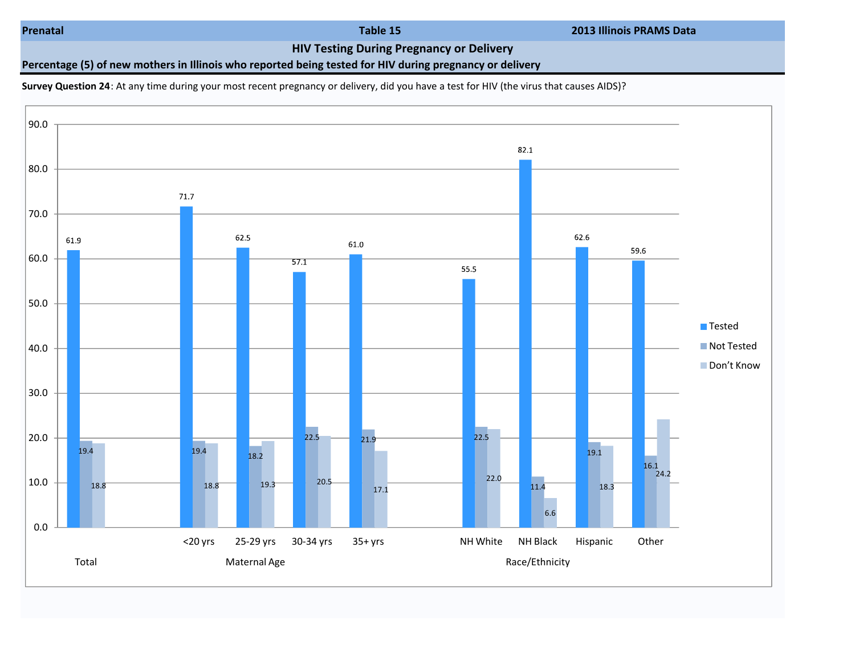Prenatal Table 15 2013 Illinois PRAMS Data

HIV Testing During Pregnancy or Delivery

Percentage (5) of new mothers in Illinois who reported being tested for HIV during pregnancy or delivery

Survey Question 24: At any time during your most recent pregnancy or delivery, did you have a test for HIV (the virus that causes AIDS)?

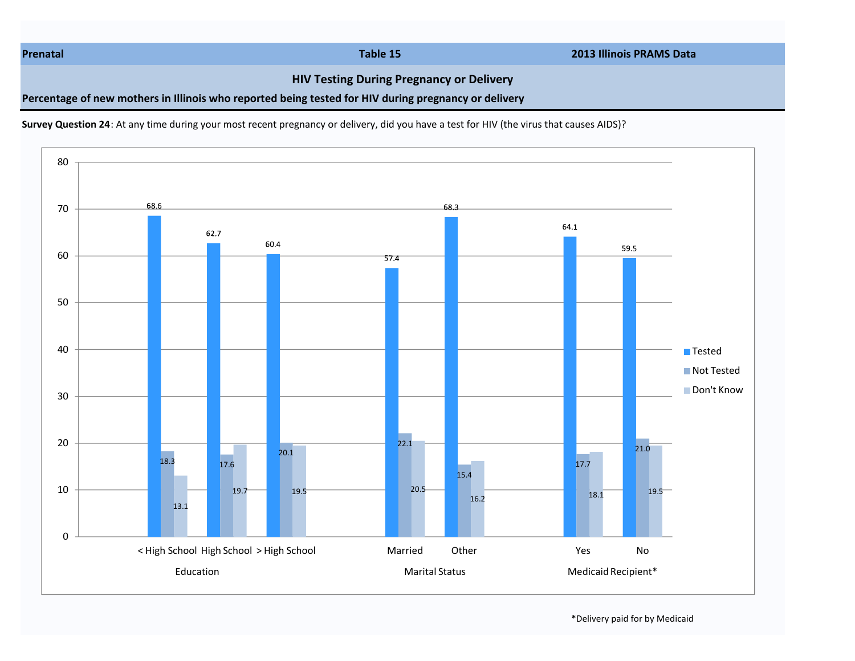Prenatal Table 15 2013 Illinois PRAMS Data

## HIV Testing During Pregnancy or Delivery

Percentage of new mothers in Illinois who reported being tested for HIV during pregnancy or delivery

Survey Question 24: At any time during your most recent pregnancy or delivery, did you have a test for HIV (the virus that causes AIDS)?



\*Delivery paid for by Medicaid